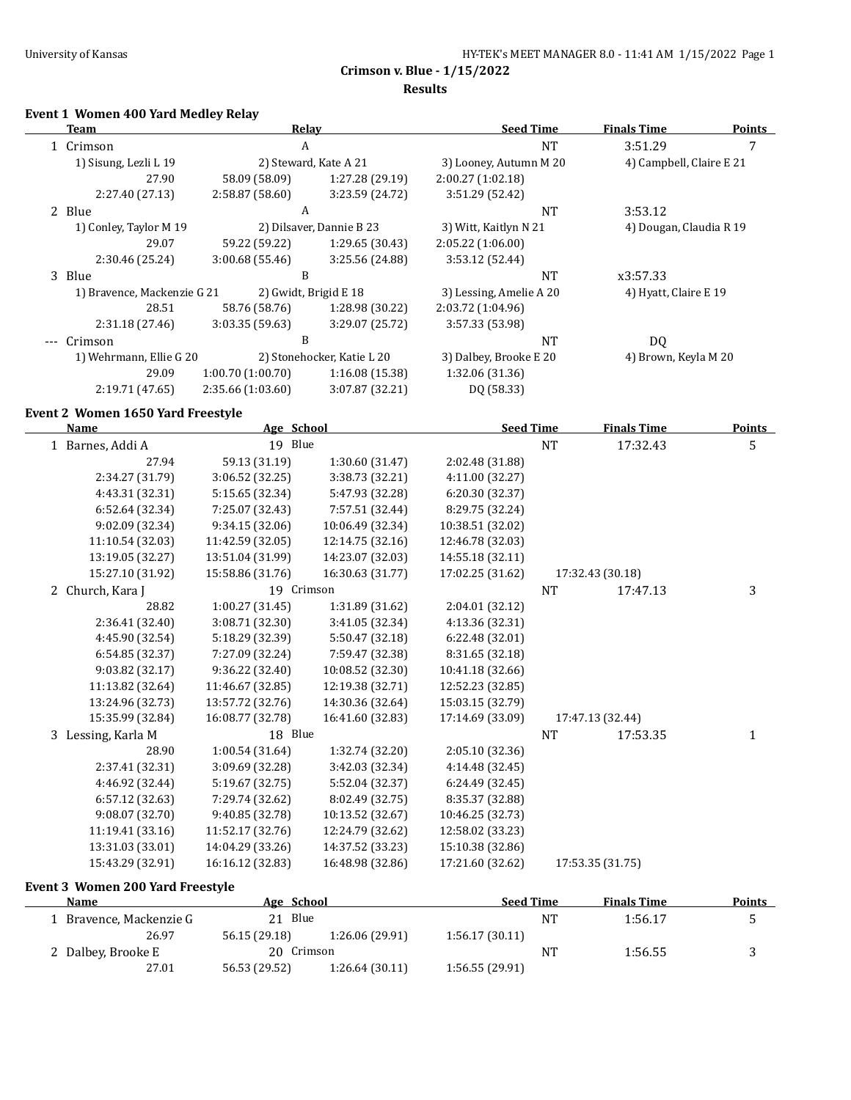# **Event 1 Women 400 Yard Medley Relay**

|           | Team                              | Relay            |                            | <b>Seed Time</b>        | <b>Finals Time</b>       | <b>Points</b> |
|-----------|-----------------------------------|------------------|----------------------------|-------------------------|--------------------------|---------------|
| 1 Crimson |                                   | A                |                            | <b>NT</b>               | 3:51.29                  | 7             |
|           | 1) Sisung, Lezli L 19             |                  | 2) Steward, Kate A 21      | 3) Looney, Autumn M 20  | 4) Campbell, Claire E 21 |               |
|           | 27.90                             | 58.09 (58.09)    | 1:27.28 (29.19)            | 2:00.27(1:02.18)        |                          |               |
|           | 2:27.40 (27.13)                   | 2:58.87(58.60)   | 3:23.59 (24.72)            | 3:51.29 (52.42)         |                          |               |
|           | 2 Blue                            | A                |                            | <b>NT</b>               | 3:53.12                  |               |
|           | 1) Conley, Taylor M 19            |                  | 2) Dilsaver, Dannie B 23   | 3) Witt, Kaitlyn N 21   | 4) Dougan, Claudia R 19  |               |
|           | 29.07                             | 59.22 (59.22)    | 1:29.65(30.43)             | 2:05.22(1:06.00)        |                          |               |
|           | 2:30.46 (25.24)                   | 3:00.68(55.46)   | 3:25.56 (24.88)            | 3:53.12 (52.44)         |                          |               |
|           | 3 Blue                            | B                |                            | <b>NT</b>               | x3:57.33                 |               |
|           | 1) Bravence, Mackenzie G 21       |                  | 2) Gwidt, Brigid E 18      | 3) Lessing, Amelie A 20 | 4) Hyatt, Claire E 19    |               |
|           | 28.51                             | 58.76 (58.76)    | 1:28.98 (30.22)            | 2:03.72(1:04.96)        |                          |               |
|           | 2:31.18 (27.46)                   | 3:03.35(59.63)   | 3:29.07 (25.72)            | 3:57.33 (53.98)         |                          |               |
|           | Crimson                           | B                |                            | <b>NT</b>               | DQ                       |               |
|           | 1) Wehrmann, Ellie G 20           |                  | 2) Stonehocker, Katie L 20 | 3) Dalbey, Brooke E 20  | 4) Brown, Keyla M 20     |               |
|           | 29.09                             | 1:00.70(1:00.70) | 1:16.08 (15.38)            | 1:32.06 (31.36)         |                          |               |
|           | 2:19.71(47.65)                    | 2:35.66(1:03.60) | 3:07.87 (32.21)            | DQ (58.33)              |                          |               |
|           | Event 2 Women 1650 Yard Freestyle |                  |                            |                         |                          |               |
|           | Name                              | Age School       |                            | <b>Seed Time</b>        | <b>Finals Time</b>       | <b>Points</b> |
|           | 1 Barnes, Addi A                  | 19 Blue          |                            | <b>NT</b>               | 17:32.43                 | 5             |
|           | 27.94                             | 59.13 (31.19)    | 1:30.60(31.47)             | 2:02.48 (31.88)         |                          |               |

| 1 Daines, nagi n   |                  |                  |                  |    |                  |   |
|--------------------|------------------|------------------|------------------|----|------------------|---|
| 27.94              | 59.13 (31.19)    | 1:30.60 (31.47)  | 2:02.48 (31.88)  |    |                  |   |
| 2:34.27 (31.79)    | 3:06.52 (32.25)  | 3:38.73 (32.21)  | 4:11.00 (32.27)  |    |                  |   |
| 4:43.31 (32.31)    | 5:15.65 (32.34)  | 5:47.93 (32.28)  | 6:20.30 (32.37)  |    |                  |   |
| 6:52.64 (32.34)    | 7:25.07 (32.43)  | 7:57.51 (32.44)  | 8:29.75 (32.24)  |    |                  |   |
| 9:02.09 (32.34)    | 9:34.15(32.06)   | 10:06.49 (32.34) | 10:38.51 (32.02) |    |                  |   |
| 11:10.54 (32.03)   | 11:42.59 (32.05) | 12:14.75 (32.16) | 12:46.78 (32.03) |    |                  |   |
| 13:19.05 (32.27)   | 13:51.04 (31.99) | 14:23.07 (32.03) | 14:55.18 (32.11) |    |                  |   |
| 15:27.10 (31.92)   | 15:58.86 (31.76) | 16:30.63 (31.77) | 17:02.25 (31.62) |    | 17:32.43 (30.18) |   |
| 2 Church, Kara J   | 19 Crimson       |                  |                  | NT | 17:47.13         | 3 |
| 28.82              | 1:00.27(31.45)   | 1:31.89(31.62)   | 2:04.01 (32.12)  |    |                  |   |
| 2:36.41 (32.40)    | 3:08.71 (32.30)  | 3:41.05 (32.34)  | 4:13.36 (32.31)  |    |                  |   |
| 4:45.90 (32.54)    | 5:18.29 (32.39)  | 5:50.47 (32.18)  | 6:22.48 (32.01)  |    |                  |   |
| 6:54.85 (32.37)    | 7:27.09 (32.24)  | 7:59.47 (32.38)  | 8:31.65 (32.18)  |    |                  |   |
| 9:03.82 (32.17)    | 9:36.22(32.40)   | 10:08.52 (32.30) | 10:41.18 (32.66) |    |                  |   |
| 11:13.82 (32.64)   | 11:46.67 (32.85) | 12:19.38 (32.71) | 12:52.23 (32.85) |    |                  |   |
| 13:24.96 (32.73)   | 13:57.72 (32.76) | 14:30.36 (32.64) | 15:03.15 (32.79) |    |                  |   |
| 15:35.99 (32.84)   | 16:08.77 (32.78) | 16:41.60 (32.83) | 17:14.69 (33.09) |    | 17:47.13 (32.44) |   |
| 3 Lessing, Karla M | 18 Blue          |                  |                  | NT | 17:53.35         | 1 |
| 28.90              | 1:00.54(31.64)   | 1:32.74 (32.20)  | 2:05.10 (32.36)  |    |                  |   |
| 2:37.41 (32.31)    | 3:09.69 (32.28)  | 3:42.03 (32.34)  | 4:14.48 (32.45)  |    |                  |   |
| 4:46.92 (32.44)    | 5:19.67 (32.75)  | 5:52.04 (32.37)  | 6:24.49 (32.45)  |    |                  |   |
| 6:57.12 (32.63)    | 7:29.74 (32.62)  | 8:02.49 (32.75)  | 8:35.37 (32.88)  |    |                  |   |
| 9:08.07 (32.70)    | 9:40.85 (32.78)  | 10:13.52 (32.67) | 10:46.25 (32.73) |    |                  |   |
| 11:19.41 (33.16)   | 11:52.17 (32.76) | 12:24.79 (32.62) | 12:58.02 (33.23) |    |                  |   |
| 13:31.03 (33.01)   | 14:04.29 (33.26) | 14:37.52 (33.23) | 15:10.38 (32.86) |    |                  |   |
| 15:43.29 (32.91)   | 16:16.12 (32.83) | 16:48.98 (32.86) | 17:21.60 (32.62) |    | 17:53.35 (31.75) |   |
|                    |                  |                  |                  |    |                  |   |

## **Event 3 Women 200 Yard Freestyle**

| Name                  | Age School    |                 | <b>Seed Time</b> |           | <b>Finals Time</b> | Points |
|-----------------------|---------------|-----------------|------------------|-----------|--------------------|--------|
| Bravence, Mackenzie G | Blue<br>21    |                 |                  | <b>NT</b> | 1:56.17            |        |
| 26.97                 | 56.15 (29.18) | 1:26.06 (29.91) | 1:56.17(30.11)   |           |                    |        |
| 2 Dalbey, Brooke E    | 20 Crimson    |                 |                  | NT.       | 1:56.55            |        |
| 27.01                 | 56.53 (29.52) | 1:26.64(30.11)  | 1:56.55(29.91)   |           |                    |        |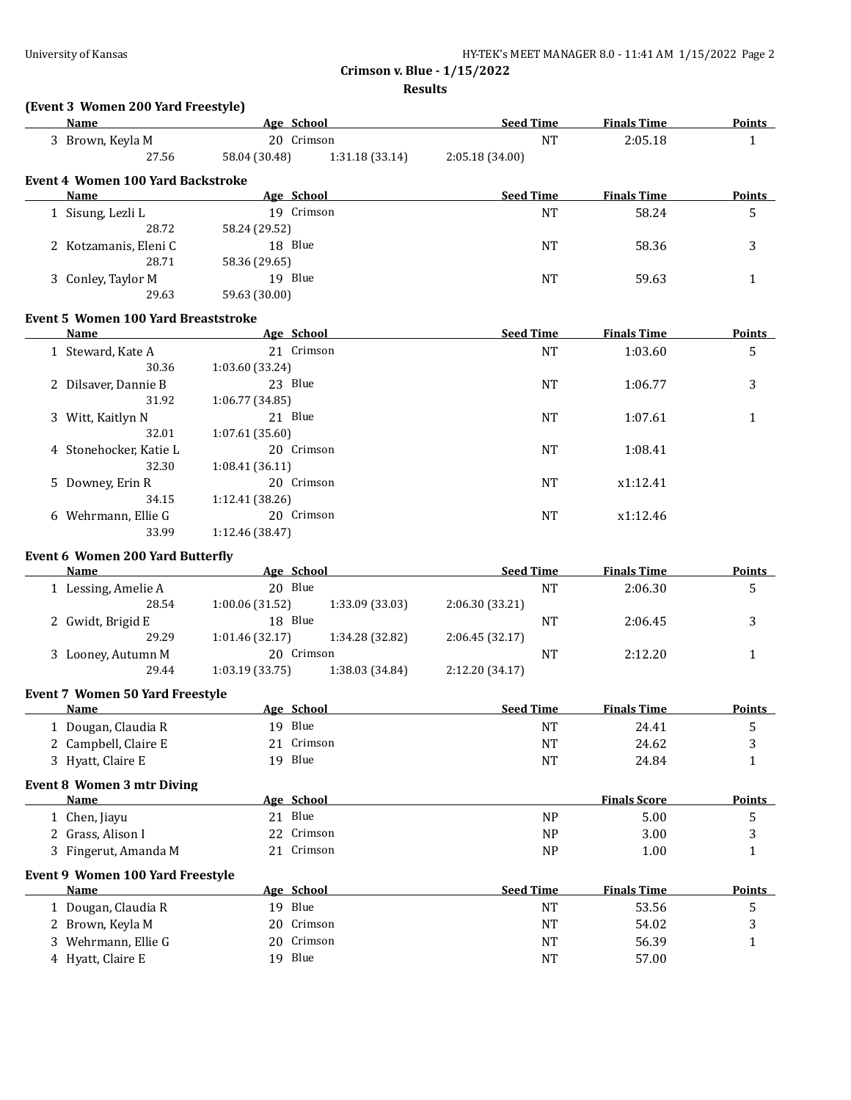**Results**

# **(Event 3 Women 200 Yard Freestyle)**

| Name                                       |                             | Age School      | <b>Seed Time</b> | <b>Finals Time</b>  | <b>Points</b> |
|--------------------------------------------|-----------------------------|-----------------|------------------|---------------------|---------------|
| 3 Brown, Keyla M                           |                             | 20 Crimson      | <b>NT</b>        | 2:05.18             | $\mathbf{1}$  |
| 27.56                                      | 58.04 (30.48)               | 1:31.18(33.14)  | 2:05.18(34.00)   |                     |               |
| <b>Event 4 Women 100 Yard Backstroke</b>   |                             |                 |                  |                     |               |
| Name                                       |                             | Age School      | <b>Seed Time</b> | <b>Finals Time</b>  | <b>Points</b> |
| 1 Sisung, Lezli L                          |                             | 19 Crimson      | <b>NT</b>        | 58.24               | 5             |
| 28.72                                      | 58.24 (29.52)               |                 |                  |                     |               |
| 2 Kotzamanis, Eleni C                      | 18 Blue                     |                 | <b>NT</b>        | 58.36               | 3             |
| 28.71                                      | 58.36 (29.65)               |                 |                  |                     |               |
| 3 Conley, Taylor M                         | 19 Blue                     |                 | <b>NT</b>        | 59.63               | $\mathbf{1}$  |
| 29.63                                      | 59.63 (30.00)               |                 |                  |                     |               |
|                                            |                             |                 |                  |                     |               |
| <b>Event 5 Women 100 Yard Breaststroke</b> |                             |                 |                  |                     |               |
| Name                                       | <b>Example 2</b> Age School |                 | <b>Seed Time</b> | <b>Finals Time</b>  | <b>Points</b> |
| 1 Steward, Kate A                          |                             | 21 Crimson      | <b>NT</b>        | 1:03.60             | 5             |
| 30.36                                      | 1:03.60 (33.24)             |                 |                  |                     |               |
| 2 Dilsaver, Dannie B                       | 23 Blue                     |                 | <b>NT</b>        | 1:06.77             | 3             |
| 31.92                                      | 1:06.77 (34.85)             |                 |                  |                     |               |
| 3 Witt, Kaitlyn N                          | 21 Blue                     |                 | <b>NT</b>        | 1:07.61             | 1             |
| 32.01                                      | 1:07.61 (35.60)             |                 |                  |                     |               |
| 4 Stonehocker, Katie L                     |                             | 20 Crimson      | <b>NT</b>        | 1:08.41             |               |
| 32.30                                      | 1:08.41(36.11)              |                 |                  |                     |               |
| 5 Downey, Erin R                           |                             | 20 Crimson      | <b>NT</b>        | x1:12.41            |               |
| 34.15                                      | 1:12.41 (38.26)             |                 |                  |                     |               |
| 6 Wehrmann, Ellie G                        |                             | 20 Crimson      | <b>NT</b>        | x1:12.46            |               |
| 33.99                                      | 1:12.46 (38.47)             |                 |                  |                     |               |
| <b>Event 6 Women 200 Yard Butterfly</b>    |                             |                 |                  |                     |               |
| <b>Name</b>                                |                             | Age School      | <b>Seed Time</b> | <b>Finals Time</b>  | <b>Points</b> |
| 1 Lessing, Amelie A                        | 20 Blue                     |                 | <b>NT</b>        | 2:06.30             | 5             |
| 28.54                                      | 1:00.06 (31.52)             | 1:33.09 (33.03) | 2:06.30 (33.21)  |                     |               |
| 2 Gwidt, Brigid E                          | 18 Blue                     |                 | NT               | 2:06.45             | 3             |
| 29.29                                      | 1:01.46 (32.17)             | 1:34.28 (32.82) | 2:06.45 (32.17)  |                     |               |
| 3 Looney, Autumn M                         |                             | 20 Crimson      | NT               | 2:12.20             | 1             |
| 29.44                                      | 1:03.19 (33.75)             | 1:38.03 (34.84) | 2:12.20 (34.17)  |                     |               |
| <b>Event 7 Women 50 Yard Freestyle</b>     |                             |                 |                  |                     |               |
| <b>Name</b>                                |                             | Age School      | <b>Seed Time</b> | <b>Finals Time</b>  | <b>Points</b> |
| 1 Dougan, Claudia R                        | 19 Blue                     |                 | <b>NT</b>        | 24.41               | 5             |
| 2 Campbell, Claire E                       |                             | 21 Crimson      | $\rm{NT}$        | 24.62               | 3             |
| 3 Hyatt, Claire E                          | 19 Blue                     |                 | <b>NT</b>        | 24.84               | $\mathbf{1}$  |
|                                            |                             |                 |                  |                     |               |
| <b>Event 8 Women 3 mtr Diving</b><br>Name  |                             | Age School      |                  | <b>Finals Score</b> | <b>Points</b> |
|                                            |                             |                 |                  |                     |               |
| 1 Chen, Jiayu                              | 21 Blue                     |                 | <b>NP</b>        | 5.00                | 5             |
| 2 Grass, Alison I                          |                             | 22 Crimson      | NP               | 3.00                | 3             |
| 3 Fingerut, Amanda M                       |                             | 21 Crimson      | <b>NP</b>        | 1.00                | 1             |
| Event 9 Women 100 Yard Freestyle           |                             |                 |                  |                     |               |
| <b>Name</b>                                |                             | Age School      | <b>Seed Time</b> | <b>Finals Time</b>  | <b>Points</b> |
| 1 Dougan, Claudia R                        | 19 Blue                     |                 | <b>NT</b>        | 53.56               | 5             |
| 2 Brown, Keyla M                           | 20                          | Crimson         | <b>NT</b>        | 54.02               | 3             |
|                                            |                             |                 |                  |                     |               |
| 3 Wehrmann, Ellie G                        | 20                          | Crimson         | <b>NT</b>        | 56.39               | 1             |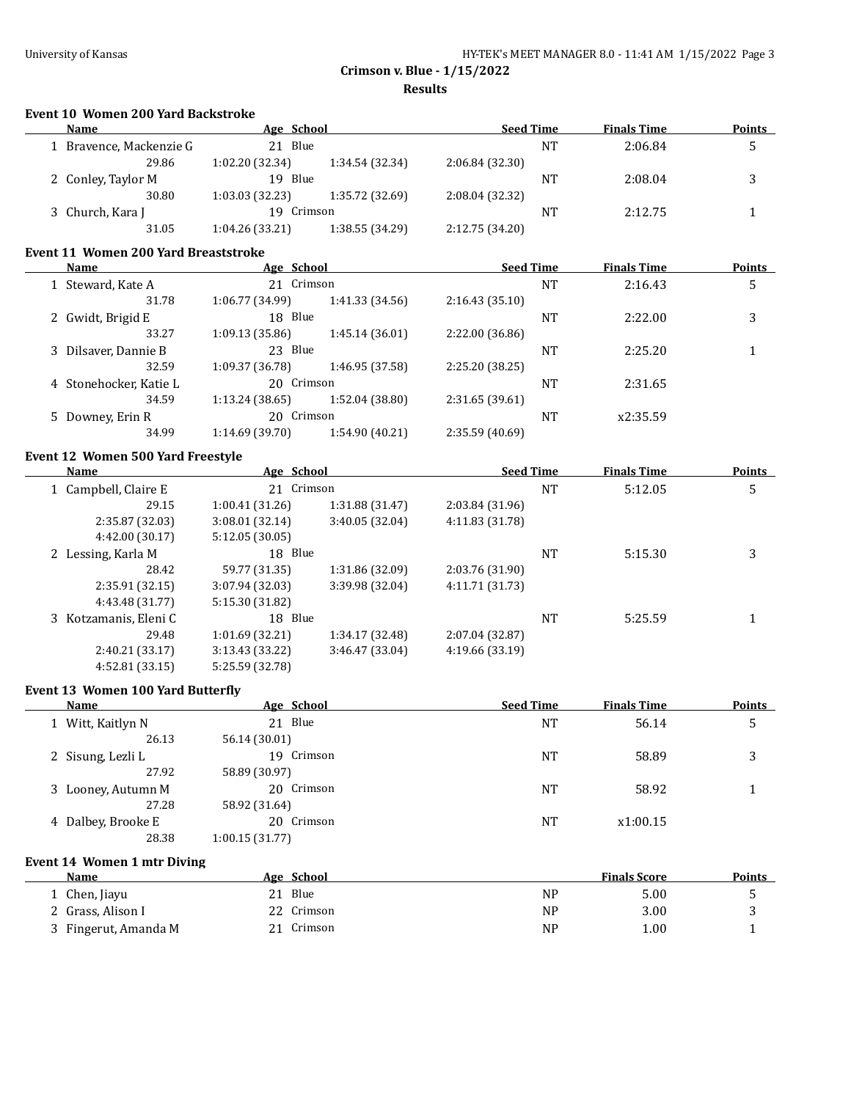**Results**

#### **Event 10 Women 200 Yard Backstroke**

| <b>Name</b>             | Age School      |                 | <b>Seed Time</b> |    | <b>Finals Time</b> | <b>Points</b> |
|-------------------------|-----------------|-----------------|------------------|----|--------------------|---------------|
| 1 Bravence, Mackenzie G | 21 Blue         |                 |                  | NT | 2:06.84            |               |
| 29.86                   | 1:02.20(32.34)  | 1:34.54 (32.34) | 2:06.84 (32.30)  |    |                    |               |
| 2 Conley, Taylor M      | 19 Blue         |                 |                  | NT | 2:08.04            |               |
| 30.80                   | 1:03.03(32.23)  | 1:35.72 (32.69) | 2:08.04 (32.32)  |    |                    |               |
| 3 Church, Kara J        | 19 Crimson      |                 |                  | NT | 2:12.75            |               |
| 31.05                   | 1:04.26 (33.21) | 1:38.55 (34.29) | 2:12.75 (34.20)  |    |                    |               |

#### **Event 11 Women 200 Yard Breaststroke**

| Name                   | Age School      |                 | <b>Seed Time</b> |    | <b>Finals Time</b> | <b>Points</b> |
|------------------------|-----------------|-----------------|------------------|----|--------------------|---------------|
| 1 Steward, Kate A      | 21 Crimson      |                 |                  | NT | 2:16.43            | 5             |
| 31.78                  | 1:06.77 (34.99) | 1:41.33(34.56)  | 2:16.43(35.10)   |    |                    |               |
| 2 Gwidt, Brigid E      | 18 Blue         |                 |                  | NT | 2:22.00            | 3             |
| 33.27                  | 1:09.13(35.86)  | 1:45.14 (36.01) | 2:22.00 (36.86)  |    |                    |               |
| 3 Dilsaver, Dannie B   | 23 Blue         |                 |                  | NT | 2:25.20            |               |
| 32.59                  | 1:09.37 (36.78) | 1:46.95 (37.58) | 2:25.20 (38.25)  |    |                    |               |
| 4 Stonehocker, Katie L | 20 Crimson      |                 |                  | NT | 2:31.65            |               |
| 34.59                  | 1:13.24(38.65)  | 1:52.04 (38.80) | 2:31.65(39.61)   |    |                    |               |
| 5 Downey, Erin R       | 20 Crimson      |                 |                  | NT | x2:35.59           |               |
| 34.99                  | 1:14.69 (39.70) | 1:54.90 (40.21) | 2:35.59 (40.69)  |    |                    |               |
|                        |                 |                 |                  |    |                    |               |

#### **Event 12 Women 500 Yard Freestyle**

| Name                  | Age School      |                 | <b>Seed Time</b> |    | <b>Finals Time</b> | <b>Points</b> |
|-----------------------|-----------------|-----------------|------------------|----|--------------------|---------------|
| 1 Campbell, Claire E  | 21 Crimson      |                 |                  | NT | 5:12.05            | 5             |
| 29.15                 | 1:00.41(31.26)  | 1:31.88(31.47)  | 2:03.84 (31.96)  |    |                    |               |
| 2:35.87 (32.03)       | 3:08.01(32.14)  | 3:40.05(32.04)  | 4:11.83 (31.78)  |    |                    |               |
| 4:42.00(30.17)        | 5:12.05(30.05)  |                 |                  |    |                    |               |
| 2 Lessing, Karla M    | 18 Blue         |                 |                  | NT | 5:15.30            | 3             |
| 28.42                 | 59.77 (31.35)   | 1:31.86 (32.09) | 2:03.76 (31.90)  |    |                    |               |
| 2:35.91(32.15)        | 3:07.94 (32.03) | 3:39.98 (32.04) | 4:11.71 (31.73)  |    |                    |               |
| 4:43.48 (31.77)       | 5:15.30 (31.82) |                 |                  |    |                    |               |
| 3 Kotzamanis, Eleni C | 18 Blue         |                 |                  | NT | 5:25.59            |               |
| 29.48                 | 1:01.69(32.21)  | 1:34.17 (32.48) | 2:07.04 (32.87)  |    |                    |               |
| 2:40.21 (33.17)       | 3:13.43(33.22)  | 3:46.47 (33.04) | 4:19.66 (33.19)  |    |                    |               |
| 4:52.81 (33.15)       | 5:25.59 (32.78) |                 |                  |    |                    |               |

#### **Event 13 Women 100 Yard Butterfly**

| Name               | Age School     | <b>Seed Time</b> | <b>Finals Time</b> | <b>Points</b> |
|--------------------|----------------|------------------|--------------------|---------------|
| 1 Witt, Kaitlyn N  | 21 Blue        | NT               | 56.14              | 5             |
| 26.13              | 56.14 (30.01)  |                  |                    |               |
| 2 Sisung, Lezli L  | 19 Crimson     | NT               | 58.89              | 3             |
| 27.92              | 58.89 (30.97)  |                  |                    |               |
| 3 Looney, Autumn M | 20 Crimson     | NT               | 58.92              |               |
| 27.28              | 58.92 (31.64)  |                  |                    |               |
| 4 Dalbey, Brooke E | Crimson<br>20  | <b>NT</b>        | x1:00.15           |               |
| 28.38              | 1:00.15(31.77) |                  |                    |               |

#### **Event 14 Women 1 mtr Diving**

| Name                 | Age School    |    | <b>Finals Score</b> | <b>Points</b> |
|----------------------|---------------|----|---------------------|---------------|
| 1 Chen, Jiayu        | Blue<br>21    | NF | 5.00                |               |
| 2 Grass, Alison I    | Crimson<br>22 | NF | 3.00                |               |
| 3 Fingerut, Amanda M | Crimson       | NP | 1.00                |               |